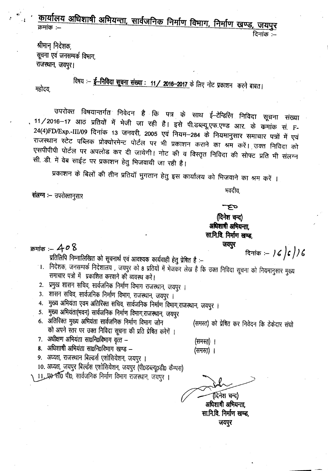<u>कार्यालय अधिशाषी अभियन्ता, सार्वजनिक निर्माण विभाग, निर्माण खण्ड, जयपुर</u> क्रमांक :— दिनांक :-

श्रीमान् निदेशक सूचना एवं जनसम्पर्क विभाग राजस्थान, जयपुर।

महोदय,

विषय :- ई-निविदा सूचना संख्या : 11/ 2016-2017 के लिए नोट प्रकाशन करने बाबत।

उपरोक्त विषयान्तर्गत निवेदन है कि पत्र के साथ ई–टेन्डिरिंग निविदा सूचना संख्या 11/2016–17 आठ प्रतियों में भेजी जा रही है। इसे पी.डब्ल्यू.एफ.एण्ड आर. के कमांक सं. F-24(4)FD/Exp.-III/09 दिनांक 13 जनवरी, 2005 एवं नियम–284 के नियमानुसार समाचार पत्रों में एवं राजस्थान स्टेट पब्लिक प्रोक्योरमेन्ट पोर्टल पर भी प्रकाशन कराने का श्रम करें। उक्त निविदा को एसपीपीपी पोर्टल पर अपलोड कर दी जायेगी। नोट की व विस्तृत निविदा की सोफ्ट प्रति भी संलग्न सी. डी. में वेब साईट पर प्रकाशन हेतु भिजवायी जा रही है।

प्रकाशन के बिलों की तीन प्रतियाँ भुगतान हेतु इस कार्यालय को भिजवाने का श्रम करें ।

संलग्न :- उपरोक्तानुसार

क्रमांक :-- 40  $8$ 

प्रतिलिपि निम्नालिखित को सूचनार्थ एवं आवश्यक कार्यवाही हेतु प्रेषित है :--

- 1. निर्देशक, जनसम्पर्क निदेशालय , जयपुर को 8 प्रतियों में भेजकर लेख है कि उक्त निविदा सूचना को नियमानुसार मुख्य समाचार पत्रो में प्रकाशित करवाने की व्यवस्थ करें।
- 2. प्रमुख शासन सचिव, सार्वजनिक निर्माण विभाग राजस्थान, जयपुर ।
- 3. शॉसन सचिव, सार्वजनिक निर्माण विभाग, राजस्थान, जयपुर ।
- 4. मुख्य अभियंता एवम अतिरिक्त सचिव, सार्वजनिक निर्माण विभाग,राजस्थान, जयपुर ।
- 5. मुख्य अभियंता(भवन) सार्वजनिक निर्माण विभाग,राजस्थान, जयपुर
- 6. अतिरिक्त मुख्य अभियंता सार्वजनिक निर्माण विभाग जोन को अपने स्तर पर उक्त निविदा सूचना की प्रति प्रेषित करेगें ।
- 7. अधीक्षण अभियंता सा0नि0विमाग वृत्त -
- 8. अधिशाषी अभियंता सा0नि0विभाग खण्ड -
- 9. अध्यक्ष, राजस्थान बिल्डर्स एशोसियेशन, जयपुर ।
- 10. अध्यक्ष, जयपुर बिल्डेस एशोसियेशन, जयपुर (पी0डब्ल्यू०डी० कैम्पस)
- 11. ए० सी० पी०, सार्वजनिक निर्माण विभाग रॉजस्थान, जयपुर ।

र्दिनेश चन्द) अधिशाषी अभियन्ता.

(समस्तु) ।

(समस्त) ।

सा.नि.वि. निर्माण खण्ड, जयपुर

दिनांक $\kappa = 16$   $\binom{2}{3}$ 

(समस्त) को प्रेषित कर निवेदन कि ठेकेदार संघो

भवदीय.

صع (दिनेश चन्द) अधिशाषी अभियन्ता. सा.नि.वि. निर्माण खण्ड, जयपुर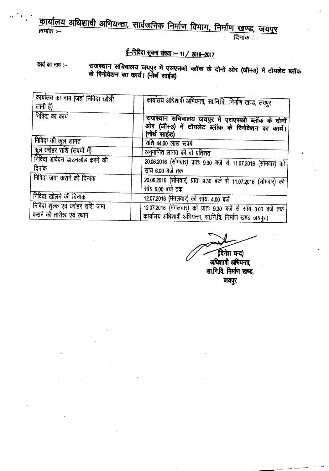#### <u>कायालय अधिशांषा अभियन्ता, सार्वजनिक</u> निर्माण विभाग, निर्माण खण्ड . जगण  $\sim$  ' $\sim$ '  $\sim$ '  $\sim$ '  $\sim$ '  $\sim$ '  $\sim$ '  $\sim$ '  $\sim$ '  $\sim$ '  $\sim$ '  $\sim$ '  $\sim$ '  $\sim$ '  $\sim$ '  $\sim$ '  $\sim$ '  $\sim$ '  $\sim$ '  $\sim$ '  $\sim$ '  $\sim$ '  $\sim$ '  $\sim$ '  $\sim$ '  $\sim$ '  $\sim$ '  $\sim$ '  $\sim$ '  $\sim$ '  $\sim$ '  $\sim$ '  $\sim$ '  $\sim$ '  $\sim$ '  $\sim$ '  $\sim$ '

# *t=~Wffl\_:-11/ 201&-2017*

#### कार्य का नाम :--**><1\'iftelH 'tfftiqlt>lll <sup>~</sup>** \_if **<sup>Q</sup>'tf'l'tfaiJ <sup>~</sup> <sup>~</sup>** GAt ~ **(Gft+3) if** ell1~e iffiq; क रिनोवेशन का कार्य। (नोर्थ स

| कार्यालय का नाम (जहां निविदा खोली<br>जानी है)               | कार्यालय अधिशाषी अभियन्ता, सा.नि.वि., निर्माण खण्ड, जयपुर                                                               |  |  |  |
|-------------------------------------------------------------|-------------------------------------------------------------------------------------------------------------------------|--|--|--|
| निविदा का कार्य                                             | राजस्थान सचिवालय जयपुर में एसएसओ ब्लॉक के दोनों<br>ओर (जी+3) में टॉयलेट ब्लॉक के रिनोवेशन का कार्य।<br>(नोर्थ साईड)     |  |  |  |
| निविदा की कुल लागत                                          | राशि 44.00 लाख रूपये                                                                                                    |  |  |  |
| कुल धरोहर राशि (रूपयों में)                                 | अनुमानित लागत की दो प्रतिशत                                                                                             |  |  |  |
| निविदा आवेदन डाउनलोड करने की<br>दिनांक                      | 20.06.2016 (सोमवार) प्रातः 9.30 बजे से 11.07.2016 (सोमवार) को<br>सांय 6.00 बजे तक                                       |  |  |  |
| निविदा जमा कराने की दिनांक                                  | 20.06.2016 (सोमवार) प्रातः 9.30 बजे से 11.07.2016 (सोमवार) को<br>सांय 6.00 बजे तक                                       |  |  |  |
| निविदा खोलने की दिनांक                                      | 12.07.2016 (मंगलवार) को सांय: 4.00 बजे                                                                                  |  |  |  |
| निविदा शुल्क एवं धरोहर राशि जमा<br>कराने की तारीख एवं स्थान | 12.07.2016 (मंगलवार) को प्रातः 9.30 बजे से सांय 3.00 बजे तक<br>कार्यालय अधिशाषी अभियन्ता, सा.नि.वि. निर्माण खण्ड जयपुर। |  |  |  |

(दिनेश चन्द) ~ अधिशाषी अमियन्ता, सा.नि.वि. निर्माण खण्ड, जयपुर

 $\cdot$   $\cdot$   $\cdot$   $\cdot$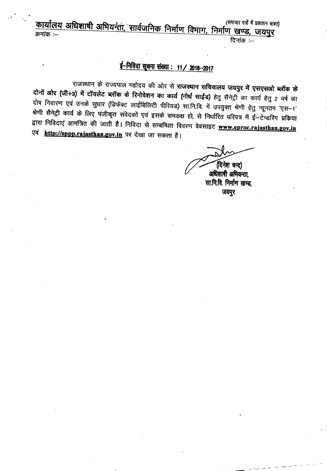$\sigma$  . The state of  $\sigma$  is the state of  $\sigma$  in the state of  $\sigma$  is the state of  $\sigma$  in the state of  $\sigma$  is the state of  $\sigma$  in the state of  $\sigma$  is the state of  $\sigma$  is the state of  $\sigma$  is the state of  $\sigma$  is the <u>कायालय आधशार्षी अभियन्ता, सार्वजनिक निर्माण</u> विमाग, निर्माण खण्ड, जयपर <sup>~</sup> :- <sup>~</sup> :-

## <u>ई-निविदा सूचना संख्या : 11/ 2016-2017</u>

राजस्थान के राज्यपाल महोदय की ओर से **राजस्थान सचिवालय जयपुर में एसएसओ ब्लॉक के** दोनों ओर (जी+3) में टॉयलेट ब्लॉक के रिनोवेशन का कार्य (नोर्थ साईड) हेतु सैनेट्री का कार्य हेतु 2 वर्ष का दोष निवारण एवं उनके सुधार (डिफेक्ट लाईबिलिटी पीरियड) सा.नि.वि. में उपयुक्त श्रेणी हेतु न्यूनतम 'एस--1' श्रेणी सैनेट्री कार्य के लिए पंजीकृत संवेदकों एवं इसके समकक्ष हो, से निर्धारित परिपत्र में ई—टेन्डरिंग प्रकिया द्वारा निविदाएं आमंत्रित की जाती है। निविदा से सम्बन्धित विवरण वेबसाइट **www.eproc.rajasthan.gov.in** एवं **http://sppp.rajasthan.gov.in** पर देखा जा सकता है।

(दिनेश चन्द)

अधिशापी अभियन्ता. सा.नि.वि. निर्माण खण्ड, जयपुर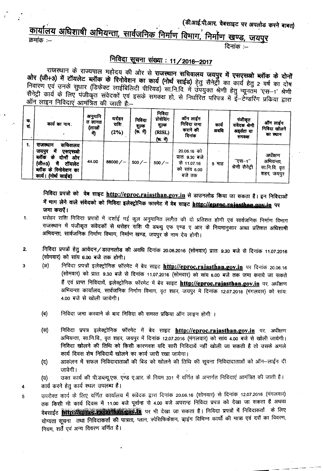## (डी.आई.पी.आर. वेबसाइट पर अपलोड करने बाबत)

# कार्यालय अधिशाषी अभियन्ता, सार्वजनिक निर्माण विभाग, निर्माण खण्ड, जयपुर

क्रमांक $=$ 

3

4

5

दिनांक :—

#### <u> निविदा सूचना संख्या : 11/2016-2017</u>

राजस्थान के राज्यपाल महोदय की ओर से राजस्थान सचिवालय जयपुर में एसएसओ ब्लॉक के दोनों ओर (जी+3) में टॉयलेट ब्लॉक के रिनोवेशन का कार्य (नोर्थ साईड) हेतु सैनेर्ट्रों का कार्य हेतु 2 वर्ष का दोष निवारण एवं उनके सुधार (डिफेक्ट लाईबिलिटी पीरियड) सा.नि.वि. में उपयुक्त श्रेणी हेतु न्यूनतम 'एस-1' श्रेणी सैनेट्री कार्य के लिए पंजीकृत संवेदकों एवं इसके समकक्ष हो, से निर्धारित परिपत्र में ई-टेन्डरिंग प्रकिया द्वारा ऑन लाइन निविदाएं आमंत्रित की जाती है:--

| क.<br>तं. | कार्य का नाम.                                                                                                                                            | अनुमानि<br>त लागत<br>(लाखों<br>मे) | घरोहर<br>राशि<br>(2%) | निविदा<br>शुल्क<br>(रू. में) | निविदा<br>प्रोसेसिंग<br>शुल्क<br>(RISL)<br>(দ. में) | ऑन लाईन<br>निविदा जमा<br>कराने की<br>दिनांक                                | कार्य<br>अवधि | पंजीकृत<br>संवेदक श्रेणी<br>अहर्यता या<br>समकक्ष | ऑन लाईन<br>निविदा खोलने<br>का स्थान                 |
|-----------|----------------------------------------------------------------------------------------------------------------------------------------------------------|------------------------------------|-----------------------|------------------------------|-----------------------------------------------------|----------------------------------------------------------------------------|---------------|--------------------------------------------------|-----------------------------------------------------|
|           | सचिवालय<br>राजस्थान<br>में<br>जयपुर<br>एसएसओ<br>ब्लॉक<br>दोनों<br>क<br>ओर<br>$(\pi + 3)$<br>टॉयलेट<br>में<br>ब्लॉक के रिनोवेशन का<br>कार्य। (नोर्थ साईड) | 44.00                              | 88000 $/$ -           | $500 / -$                    | $500 / -$                                           | 20.06.16 को<br>प्रातः ९.३० बजे<br>से 11.07.16<br>सांय 6.00<br>को<br>बजे तक | 5 माह         | "ए <del>स</del> —1"<br>श्रेणी सैनेट्री           | अधीक्षण<br>अभियन्ता,<br>सा.नि.वि. वृत<br>शहर, जयपुर |

निविदा प्रपत्रों को वेब साइट http://eproc.rajasthan.gov.in से डाउनलोड किया जा सकता है। इन निविदाओं में भाग लेने वाले संवेदको को निविदा इलेक्ट्रोनिक फारमेट में वेब साइट http://eprec.rajasthan.gox.in पर जमा कराऐं।

- धरोहर राशि निविदा प्रपत्रों में दर्शाई गई कुल अनुमानित लागैत की दो प्रतिशत होगी एवं सार्वजनिक निर्माण विभाग 1. राजस्थान में पंजीकृत संवेदकों से धरोहर राशि पी डब्ल्यु एफ एण्ड ए आर के नियमानुसार आधा प्रतिशत अधिशाषी अभियन्ता, सार्वजनिक निर्माण विभाग, निर्माण खण्ड, जयपुर के नाम देय होगी।
- निविदा प्रपत्रों हेतु आवेदन/डाउनलोड की अवधि दिनांक 20.06.2016 (सोमवार) प्रातः 9.30 बजे से दिनांक 11.07.2016  $2.$ (सोमवार) को सांय 6.00 बजे तक होगी।
	- निविदा प्रपत्रों इलेक्ट्रोनिक फॉरमेट में बेव साइट http://eproc.rajasthan.gov.in पर दिनांक 20.06.16  $(3I)$ (सोमवार) को प्रातः 9.30 बजे से दिनांक 11.07.2016 (सोमवार) को सांय 6.00 बजे तक जमा कराये जा सकते हैं एवं प्राप्त निविदायें, इलेक्ट्रोनिक फॉरमेट में बेव साइट http://eproc.rajasthan.gov.in पर, अधीक्षण अभियन्ता कार्यालय, सार्वजनिक निर्माण विभाग, वृत शहर, जयपुर में दिनांक 12.07.2016 (मंगलवार) को सांयः 4.00 बजे से खोली जायेगी।
		- (ৰ) निविदा जमा करवाने के बाद निविदा की समस्त प्रकिया ऑन लाइन होगी ।
		- निविदा प्रपत्र इलेक्ट्रोनिक फॉरमेट में बेव साइट http://eproc.rajasthan.gov.in पर, अधीक्षण  $(F)$ अभियन्ता, सा.नि.वि., वृत शहर, जयपुर में दिनांक 12.07.2016 (मंगलवार) को सांय 4.00 बजे से खोली जायेगी। निविदा खोलने की तिथि को किसी कारणवश यदि सारी निविदायें नहीं खोली जा सकती है तो उसके अगले कार्य दिवस शेष निविदायें खोलने का कार्य जारी रखा जायेगा।
		- $(\vec{c})$ आकंलन में सफल निविदादाताओं की बिड को खोलने की तिथि की सचना निविदादाताओं को ऑन--लाईन दी जावेगी।

उक्त कार्य की पी.डब्ल्यू.एफ. एण्ड ए.आर. के नियम 331 में वर्णित के अन्तर्गत निविदाएं आमंत्रित की जाती है।  $(\overline{u})$ कार्य करने हेतू कार्य स्थल उपलब्ध है।

उपरोक्त कार्य के लिए वर्णित कार्यालय में संवेदक द्वारा दिनांक 20.06.16 (सोमवार) से दिनांक 12.07.2016 (मंगलवार) तक किसी भी कार्य दिवस में 11.00 बजे पूर्वान्ह से 4.00 बजे अपरान्ह निविदा प्रपत्र को देखा जा सकता है अथवा वेबसाईट **भारा कर से से बाद के बाद कर से बाद कर से बा**स करना है। निविदा प्रपत्नों में निविदाकर्ता के लिए योग्यता सूचना तथा निविदाकर्ता की पात्रता, प्लान, स्पेसिफिकेशन, डाइंग विभिन्न कार्यों की मात्रा एवं दरों का विवरण, नियम, शर्तें एवं अन्य विवरण वर्णित है।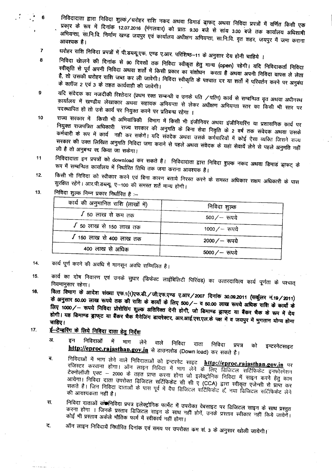निविदादाता द्वारा निविदा शुल्कं ⁄धरोहर राशि नकद अथवा डिमाडं ड्राफट् अथवा निविदा प्रपत्रों में वर्णित किसी एक प्रकार के रूप में दिनांक 12.07.2016 (मंगलवार) को प्रातः 9.30 बजे से सांय 3.00 बजे तक कार्यालय अधिशाषी अभियन्ता, सा.नि.वि. निर्माण खण्ड जयपुर एवं कार्यालय अधीक्षण अभियन्ता, सा.नि.वि. वृत शहर, जयपुर में जमा कराना

- धरोहर राशि निविदा प्रपत्रों में पी.डब्ल्यू.एफ. एण्ड ए.आर. परिशिष्ठ–11 के अनुसार देय होनी चाहिये ।  $\overline{\mathbf{r}}$ 8
	- निविदा खेालने की दिनांक से 90 दिवसों तक निविदा स्वीकृत हेतु मान्य (open) रहेगी। यदि निविदाकर्ता निविदा स्वीकृति से पूर्व अपनी निविदा अथवा शर्तों में किसी प्रकार का संशोधन) करता है अथवा अपनी निविदा वापस ले लेता है, तो उसकी धरोहर राशि जब्त कर ली जावेगी। निविदा स्वीकृति के पश्चात दर या शर्तो में परिवर्तन करने पर अनुबंध के क्लॉज 2 एवं 3 के तहत कार्यवाही की जावेगी।

यदि संवेदक का नजदीकी रिश्तेदार (प्रथम रक्त सम्बन्धी व उनके पति /पत्नि) कार्य से सम्बन्धित वृत अथवा अधीनस्थ कार्यालय में खण्डीय लेखाकार अथवा सहायक अभियन्ता से लेकर अधीक्षण अभियन्ता स्तर का किसी भी स्तर पर पदस्थापित हो तो उसे कार्य पर नियुक्त करने पर प्रतिबन्ध रहेगा ।

- राज्य सरकार में किसी भी अभियांत्रिकी विभाग में किसी भी इंजीनियर अथवा इंजीनियरिंग या प्रशासनिक कार्य पर 10 नियुक्त राजपत्रित अधिकारी राज्य सरकार की अनुमति के बिना सेवा निवृति के 2 वर्ष तक संवेदक अथवा उसके कर्मचारी के रूप में कार्य नही कर सकेगें। यदि संवदेक अथवा उसके कर्मचारियों में कोई ऐसा व्यक्ति जिसने राज्य सरकार की उक्त लिखित अनुमति निविदा जमा कराने से पहले अथवा संवेदक के यहां सेवायें लेने से पहले अनुमति नहीं ली है तो अनुबन्ध रद्द किया जा सकेगा।
- निविदादाता इन प्रपत्रों को download कर सकते है। निविदादाता द्वारा निविदा शुल्क नकद अथवा डिमाडं ड्राफट् के  $11$ रूप में सम्बन्धित कार्यालय में निर्धारित तिथि तक जमा कराना आवश्यक है।
- किसी भी निविदा को स्वीकार करने एवं बिना कारण बताये निरस्त करने के समस्त अधिकार सक्षम अधिकारी के पास  $12.$ सुरक्षित रहेंगे। आर.पी.डब्ल्यू. ए--100 की समस्त शर्ते मान्य होगी।
- निविदा शुल्क निम्न प्रकार निर्धारित है :-- $13.$

| कार्य की अनुमानित राशि (लाखों में) | निविदा शुल्क     |  |  |
|------------------------------------|------------------|--|--|
| $\sqrt{50}$ लाख से कम तक           | $500 / - $ रुपये |  |  |
| $\sqrt{50}$ लाख से 150 लाख तक      | 1000 $/$ – रूपये |  |  |
| √ 150 लाख से 400 लाख तक            | 2000 $/$ – रूपये |  |  |
| 400 लाख से अधिक                    | 5000 $/$ – रूपये |  |  |

- कार्य पूर्ण करने की अवधि में मानसून अवधि सम्मिलित है। 14.
- $15.$

6

 $\mathbf{9}$ 

- कार्य का दोष निवारण एवं उनके सुधार (डिफेक्ट लाईबिलिटी पिरियड) का उत्तरदायित्व कार्य पूर्णता के पश्चात् नियमानुसार रहेगा। 16.
- वित्त विभाग के आदेश संख्या एफ.1(1)एफ.डी./जी.एफ.एण्ड ए.आर/2007 दिनांक 30.09.2011 (सर्कुलर नं.19/2011) के अनुसार 50.00 लाख रूपये तक की राशि के कार्यो के लिए 500/– व 50.00 लाख रूपये अधिक राशि के कार्यों के लिए 1000/- रूपये निविदा प्रोसेसिंग शुल्क अतिरिक्त देनी होगी, जो डिमाण्ड ड्राफ्ट या बैंकर चैक के रूप में देय होगी। यह डिमाण्ड ड्राफ्ट या बैंकर चैक मैनेजिंग डायरेक्टर, आर.आई.एस.एल.के पक्ष में व जयपुर में मुगतान योग्य होना
- <u>ई-टेन्डरिंग के लिये निविदा दाता हेतु निर्देश</u> 17.
	- 31. निविदाओं इन में माग लेने वाले निविदा दाता निविदा प्रपत्र इन्टरनेटसाइट को http://eproc.rajasthan.gov.in से डाउनलोड (Down load) कर सकते है।
	- निविदाओं में भाग लेने वाले निविदाताओं को इन्टरनेट साइट **http://eproc.raj<u>asthan.gov.in</u> पर** ब. रजिस्टर करवाना होगा। ऑन लाइन निविदा में भाग लेने के लिए डिजिटल सर्टिफिकेट इनफोरमेशन टेक्नोलॉजी एक्ट – 2000 के तहत प्राप्त करना होगा जो इलेक्ट्रोनिक निविदा में साइन करने हेतु काम आयेगा। निविदा दाता उपरोक्त डिजिटल सर्टिफिकेट सी सी ए (CCA) द्वारा स्वीकृत एजेन्सी से प्राप्त कर सकते है। जिन निविदा दाताओं के पास पूर्व में वैघ डिजिटल सर्टिफिकेट हों नया डिजिटल सर्टिफिकेट लेने
	- निविदा दाताओं को निविदा प्रपत्र इलेक्ट्रोनिक फार्मेट में उपरोक्त वेबसाइट पर डिजिटल साइन के साथ प्रस्तुत स. .<br>करना होगा । जिनके प्रस्ताव डिजिटल साइन के साथ नहीं होगें, उनके प्रस्ताव स्वीकार नहीं किये जायेगें। कोई भी प्रस्ताव अकेले मौतिक फार्म में स्वीकार्य नहीं होगा।
	- ै ऑन लाइन निविदायें निर्धारित दिनांक एवं समय पर उपरोक्त कम सं. 3 के अनुसार खोली जायेगी। द.